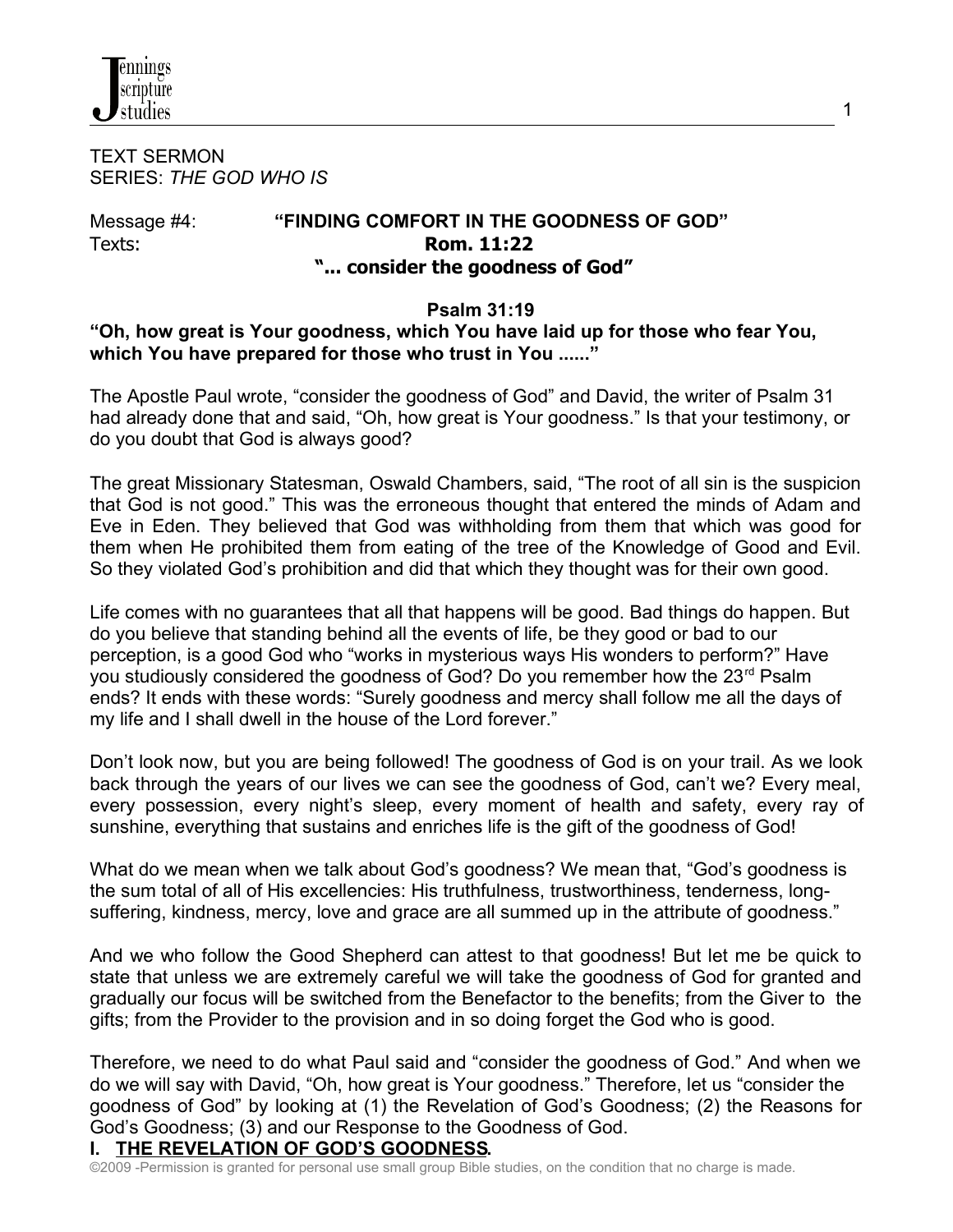

TEXT SERMON SERIES: *THE GOD WHO IS*

### Message #4: **"FINDING COMFORT IN THE GOODNESS OF GOD"** Texts: **Rom. 11:22 "... consider the goodness of God"**

### **Psalm 31:19**

# **"Oh, how great is Your goodness, which You have laid up for those who fear You, which You have prepared for those who trust in You ......"**

The Apostle Paul wrote, "consider the goodness of God" and David, the writer of Psalm 31 had already done that and said, "Oh, how great is Your goodness." Is that your testimony, or do you doubt that God is always good?

The great Missionary Statesman, Oswald Chambers, said, "The root of all sin is the suspicion that God is not good." This was the erroneous thought that entered the minds of Adam and Eve in Eden. They believed that God was withholding from them that which was good for them when He prohibited them from eating of the tree of the Knowledge of Good and Evil. So they violated God's prohibition and did that which they thought was for their own good.

Life comes with no guarantees that all that happens will be good. Bad things do happen. But do you believe that standing behind all the events of life, be they good or bad to our perception, is a good God who "works in mysterious ways His wonders to perform?" Have you studiously considered the goodness of God? Do you remember how the 23<sup>rd</sup> Psalm ends? It ends with these words: "Surely goodness and mercy shall follow me all the days of my life and I shall dwell in the house of the Lord forever."

Don't look now, but you are being followed! The goodness of God is on your trail. As we look back through the years of our lives we can see the goodness of God, can't we? Every meal, every possession, every night's sleep, every moment of health and safety, every ray of sunshine, everything that sustains and enriches life is the gift of the goodness of God!

What do we mean when we talk about God's goodness? We mean that, "God's goodness is the sum total of all of His excellencies: His truthfulness, trustworthiness, tenderness, longsuffering, kindness, mercy, love and grace are all summed up in the attribute of goodness."

And we who follow the Good Shepherd can attest to that goodness! But let me be quick to state that unless we are extremely careful we will take the goodness of God for granted and gradually our focus will be switched from the Benefactor to the benefits; from the Giver to the gifts; from the Provider to the provision and in so doing forget the God who is good.

Therefore, we need to do what Paul said and "consider the goodness of God." And when we do we will say with David, "Oh, how great is Your goodness." Therefore, let us "consider the goodness of God" by looking at (1) the Revelation of God's Goodness; (2) the Reasons for God's Goodness; (3) and our Response to the Goodness of God.

### **I. THE REVELATION OF GOD'S GOODNESS.**

©2009 -Permission is granted for personal use small group Bible studies, on the condition that no charge is made.

1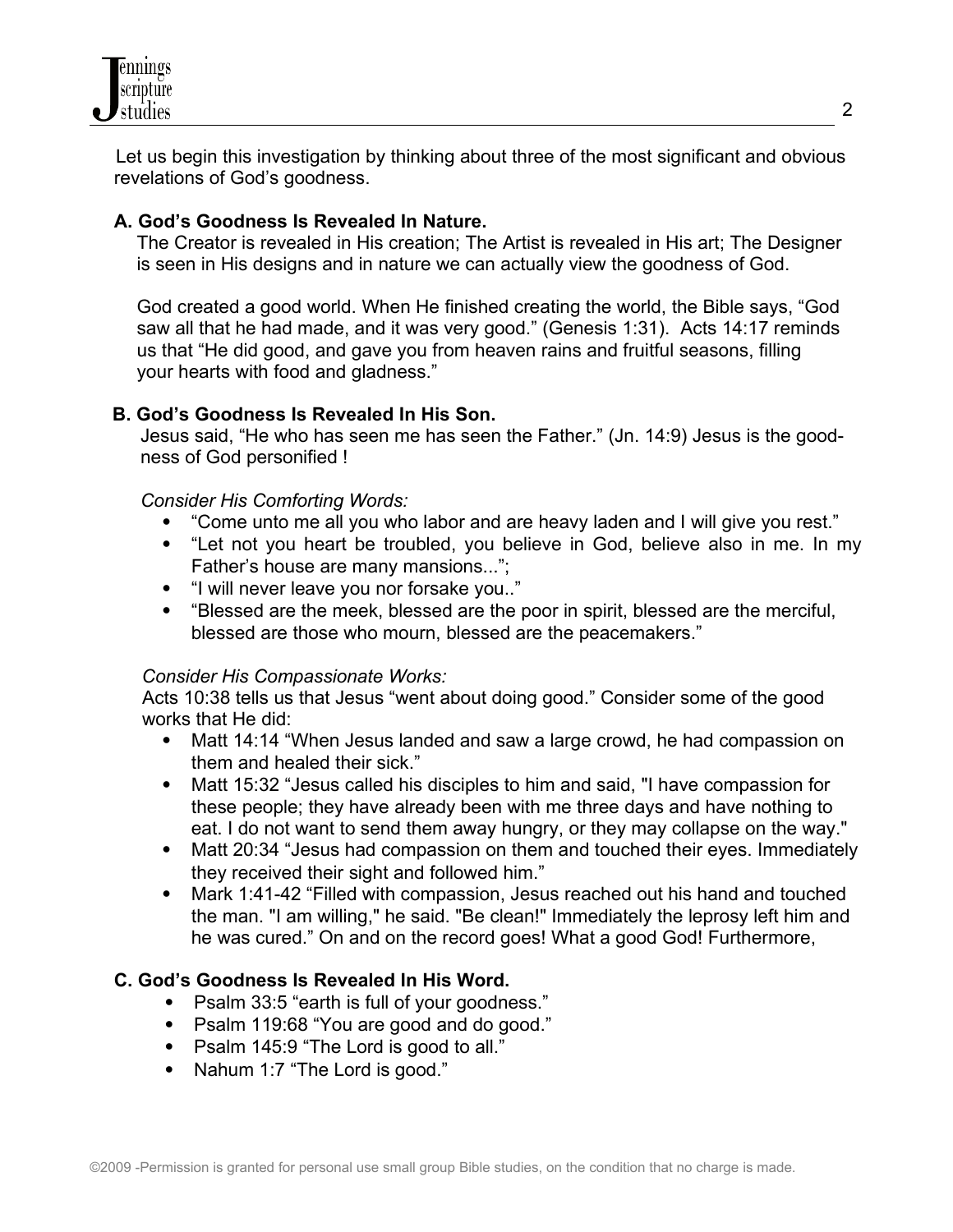

 Let us begin this investigation by thinking about three of the most significant and obvious revelations of God's goodness.

### **A. God's Goodness Is Revealed In Nature.**

 The Creator is revealed in His creation; The Artist is revealed in His art; The Designer is seen in His designs and in nature we can actually view the goodness of God.

 God created a good world. When He finished creating the world, the Bible says, "God saw all that he had made, and it was very good." (Genesis 1:31). Acts 14:17 reminds us that "He did good, and gave you from heaven rains and fruitful seasons, filling your hearts with food and gladness."

### **B. God's Goodness Is Revealed In His Son.**

 Jesus said, "He who has seen me has seen the Father." (Jn. 14:9) Jesus is the good ness of God personified !

### *Consider His Comforting Words:*

- "Come unto me all you who labor and are heavy laden and I will give you rest."
- "Let not you heart be troubled, you believe in God, believe also in me. In my Father's house are many mansions...";
- "I will never leave you nor forsake you.."
- "Blessed are the meek, blessed are the poor in spirit, blessed are the merciful, blessed are those who mourn, blessed are the peacemakers."

#### *Consider His Compassionate Works:*

 Acts 10:38 tells us that Jesus "went about doing good." Consider some of the good works that He did:

- Matt 14:14 "When Jesus landed and saw a large crowd, he had compassion on them and healed their sick."
- Matt 15:32 "Jesus called his disciples to him and said, "I have compassion for these people; they have already been with me three days and have nothing to eat. I do not want to send them away hungry, or they may collapse on the way."
- Matt 20:34 "Jesus had compassion on them and touched their eyes. Immediately they received their sight and followed him."
- Mark 1:41-42 "Filled with compassion, Jesus reached out his hand and touched the man. "I am willing," he said. "Be clean!" Immediately the leprosy left him and he was cured." On and on the record goes! What a good God! Furthermore,

### **C. God's Goodness Is Revealed In His Word.**

- Psalm 33:5 "earth is full of your goodness."
- Psalm 119:68 "You are good and do good."
- Psalm 145:9 "The Lord is good to all."
- Nahum 1:7 "The Lord is good."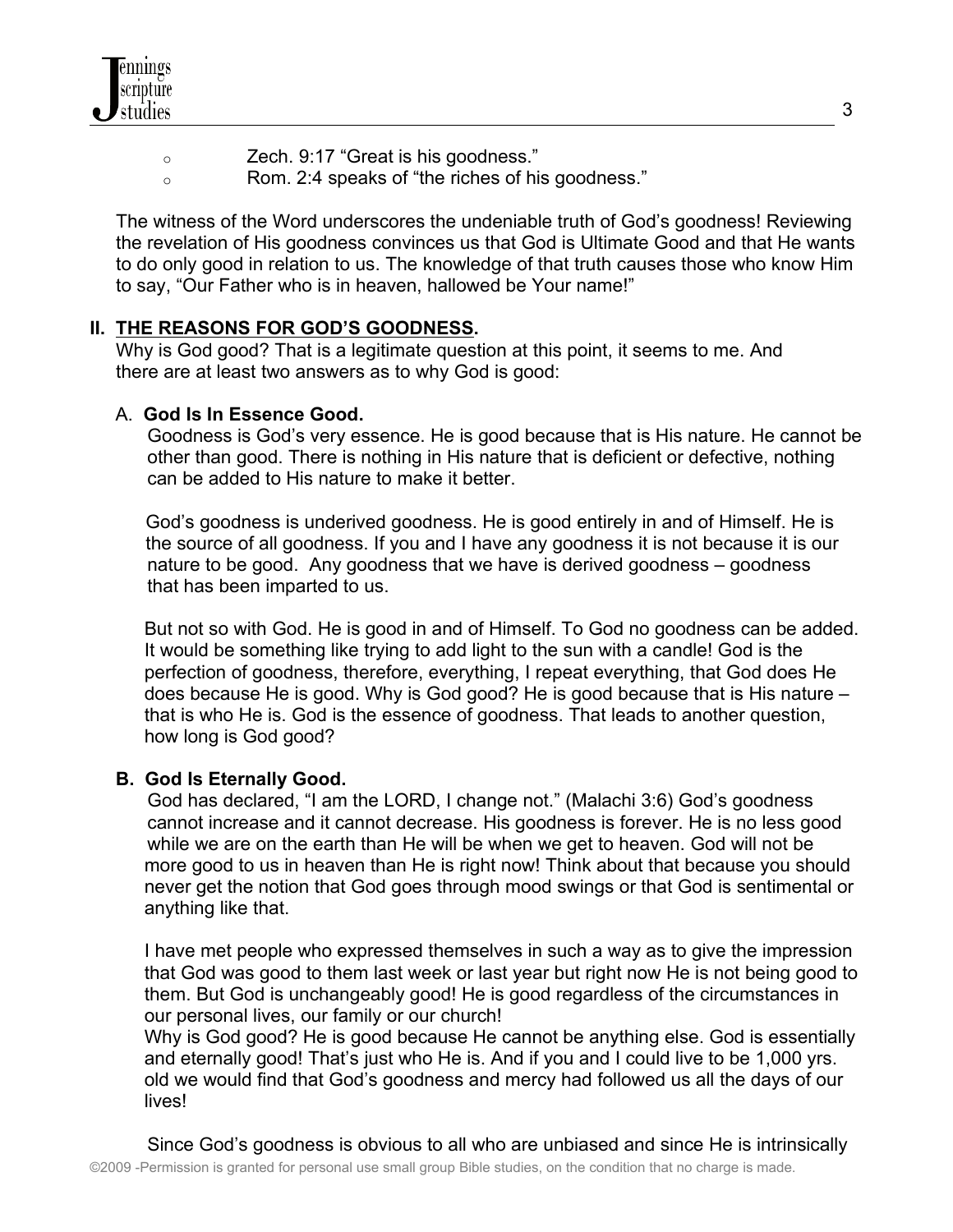- o Zech. 9:17 "Great is his goodness."
- o Rom. 2:4 speaks of "the riches of his goodness."

 The witness of the Word underscores the undeniable truth of God's goodness! Reviewing the revelation of His goodness convinces us that God is Ultimate Good and that He wants to do only good in relation to us. The knowledge of that truth causes those who know Him to say, "Our Father who is in heaven, hallowed be Your name!"

# **II. THE REASONS FOR GOD'S GOODNESS.**

 Why is God good? That is a legitimate question at this point, it seems to me. And there are at least two answers as to why God is good:

# A. **God Is In Essence Good.**

 Goodness is God's very essence. He is good because that is His nature. He cannot be other than good. There is nothing in His nature that is deficient or defective, nothing can be added to His nature to make it better.

God's goodness is underived goodness. He is good entirely in and of Himself. He is the source of all goodness. If you and I have any goodness it is not because it is our nature to be good. Any goodness that we have is derived goodness – goodness that has been imparted to us.

But not so with God. He is good in and of Himself. To God no goodness can be added. It would be something like trying to add light to the sun with a candle! God is the perfection of goodness, therefore, everything, I repeat everything, that God does He does because He is good. Why is God good? He is good because that is His nature – that is who He is. God is the essence of goodness. That leads to another question, how long is God good?

# **B. God Is Eternally Good.**

 God has declared, "I am the LORD, I change not." (Malachi 3:6) God's goodness cannot increase and it cannot decrease. His goodness is forever. He is no less good while we are on the earth than He will be when we get to heaven. God will not be more good to us in heaven than He is right now! Think about that because you should never get the notion that God goes through mood swings or that God is sentimental or anything like that.

I have met people who expressed themselves in such a way as to give the impression that God was good to them last week or last year but right now He is not being good to them. But God is unchangeably good! He is good regardless of the circumstances in our personal lives, our family or our church!

Why is God good? He is good because He cannot be anything else. God is essentially and eternally good! That's just who He is. And if you and I could live to be 1,000 yrs. old we would find that God's goodness and mercy had followed us all the days of our lives!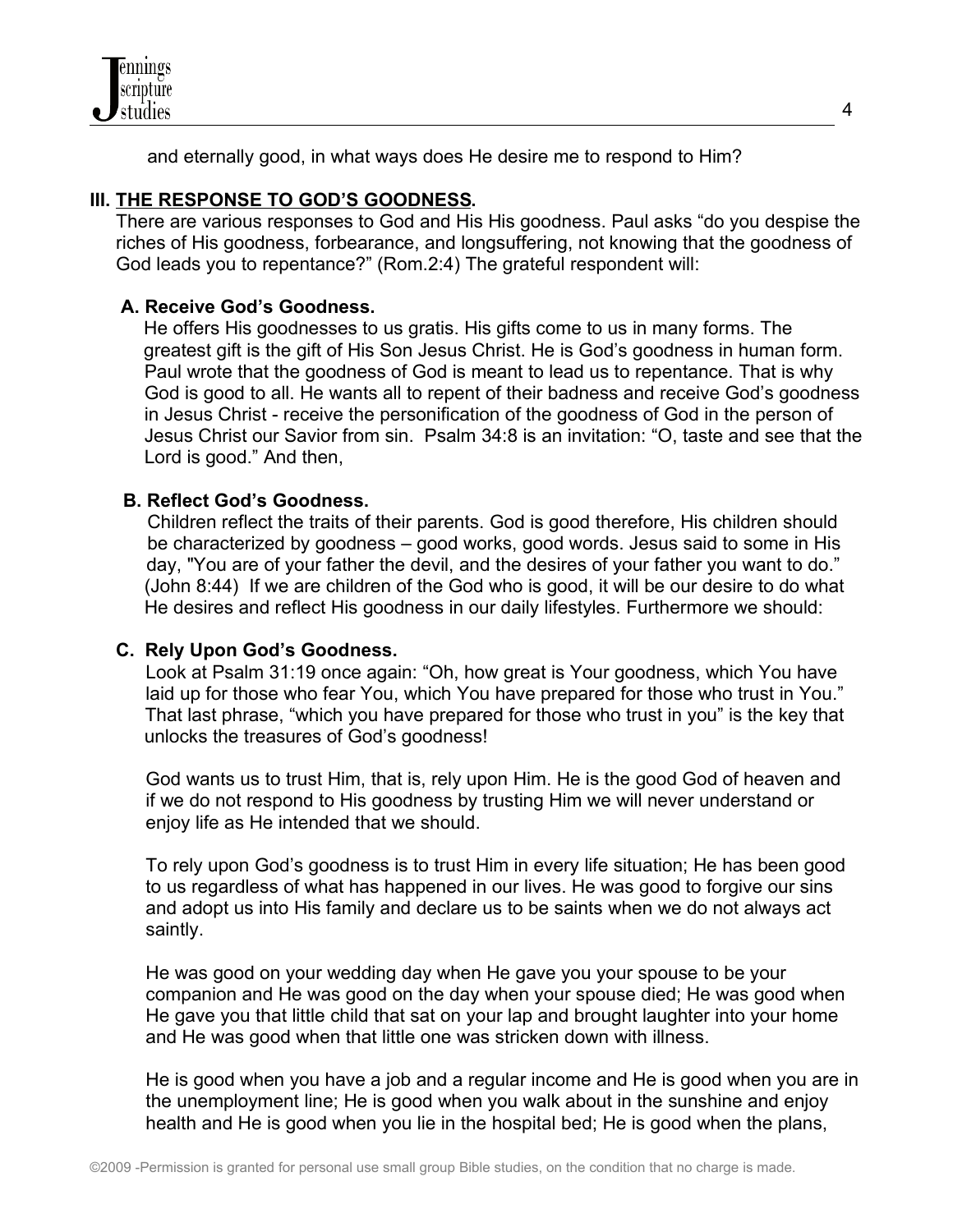

and eternally good, in what ways does He desire me to respond to Him?

# **III. THE RESPONSE TO GOD'S GOODNESS.**

 There are various responses to God and His His goodness. Paul asks "do you despise the riches of His goodness, forbearance, and longsuffering, not knowing that the goodness of God leads you to repentance?" (Rom.2:4) The grateful respondent will:

### **A. Receive God's Goodness.**

 He offers His goodnesses to us gratis. His gifts come to us in many forms. The greatest gift is the gift of His Son Jesus Christ. He is God's goodness in human form. Paul wrote that the goodness of God is meant to lead us to repentance. That is why God is good to all. He wants all to repent of their badness and receive God's goodness in Jesus Christ - receive the personification of the goodness of God in the person of Jesus Christ our Savior from sin. Psalm 34:8 is an invitation: "O, taste and see that the Lord is good." And then,

### **B. Reflect God's Goodness.**

 Children reflect the traits of their parents. God is good therefore, His children should be characterized by goodness – good works, good words. Jesus said to some in His day, "You are of your father the devil, and the desires of your father you want to do." (John 8:44) If we are children of the God who is good, it will be our desire to do what He desires and reflect His goodness in our daily lifestyles. Furthermore we should:

### **C. Rely Upon God's Goodness.**

 Look at Psalm 31:19 once again: "Oh, how great is Your goodness, which You have laid up for those who fear You, which You have prepared for those who trust in You." That last phrase, "which you have prepared for those who trust in you" is the key that unlocks the treasures of God's goodness!

 God wants us to trust Him, that is, rely upon Him. He is the good God of heaven and if we do not respond to His goodness by trusting Him we will never understand or enjoy life as He intended that we should.

 To rely upon God's goodness is to trust Him in every life situation; He has been good to us regardless of what has happened in our lives. He was good to forgive our sins and adopt us into His family and declare us to be saints when we do not always act saintly.

He was good on your wedding day when He gave you your spouse to be your companion and He was good on the day when your spouse died; He was good when He gave you that little child that sat on your lap and brought laughter into your home and He was good when that little one was stricken down with illness.

He is good when you have a job and a regular income and He is good when you are in the unemployment line; He is good when you walk about in the sunshine and enjoy health and He is good when you lie in the hospital bed; He is good when the plans,